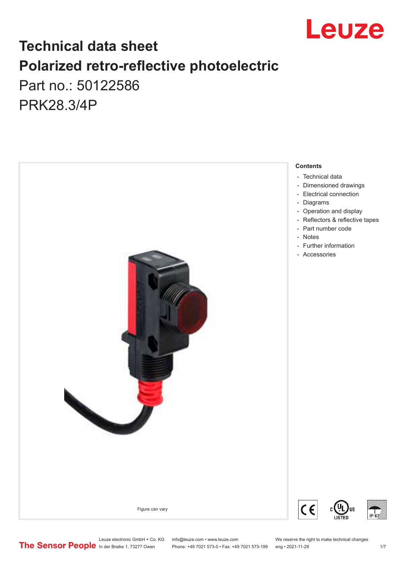

# **Technical data sheet Polarized retro-reflective photoelectric**  Part no.: 50122586

PRK28.3/4P



Leuze electronic GmbH + Co. KG info@leuze.com • www.leuze.com We reserve the right to make technical changes<br>
The Sensor People in der Braike 1, 73277 Owen Phone: +49 7021 573-0 • Fax: +49 7021 573-199 eng • 2021-11-29

Phone: +49 7021 573-0 • Fax: +49 7021 573-199 eng • 2021-11-29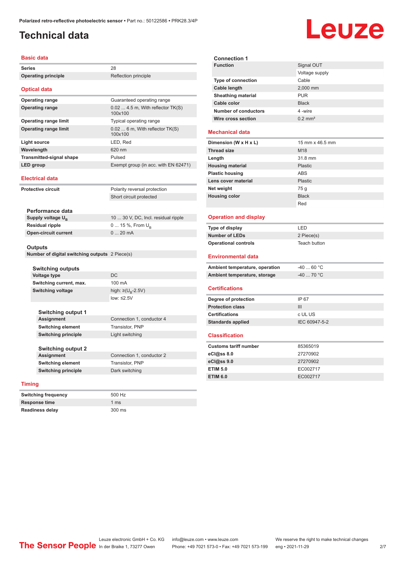## <span id="page-1-0"></span>**Technical data**

# Leuze

| Basic data                      |                                                |                                            | <b>Connection 1</b>       |
|---------------------------------|------------------------------------------------|--------------------------------------------|---------------------------|
| <b>Series</b>                   |                                                | 28                                         | <b>Function</b>           |
| <b>Operating principle</b>      |                                                | Reflection principle                       |                           |
|                                 |                                                |                                            | Type of connec            |
| <b>Optical data</b>             |                                                |                                            | Cable length              |
| <b>Operating range</b>          |                                                | Guaranteed operating range                 | <b>Sheathing mate</b>     |
| <b>Operating range</b>          |                                                | $0.02$ 4.5 m, With reflector TK(S)         | Cable color               |
|                                 |                                                | 100x100                                    | Number of cond            |
| <b>Operating range limit</b>    |                                                | Typical operating range                    | Wire cross sect           |
| <b>Operating range limit</b>    |                                                | $0.026$ m, With reflector TK(S)<br>100x100 | <b>Mechanical data</b>    |
| Light source                    |                                                | LED, Red                                   | Dimension (W x H          |
| Wavelength                      |                                                | 620 nm                                     | <b>Thread size</b>        |
| <b>Transmitted-signal shape</b> |                                                | Pulsed                                     | Length                    |
| <b>LED</b> group                |                                                | Exempt group (in acc. with EN 62471)       | <b>Housing material</b>   |
|                                 |                                                |                                            | <b>Plastic housing</b>    |
| <b>Electrical data</b>          |                                                |                                            | Lens cover materi         |
| <b>Protective circuit</b>       |                                                | Polarity reversal protection               | Net weight                |
|                                 |                                                | Short circuit protected                    | <b>Housing color</b>      |
|                                 |                                                |                                            |                           |
| Performance data                |                                                |                                            |                           |
| Supply voltage $U_{B}$          |                                                | 10  30 V, DC, Incl. residual ripple        | <b>Operation and c</b>    |
| Residual ripple                 |                                                | 0  15 %, From $U_{\rm B}$                  | Type of display           |
| <b>Open-circuit current</b>     |                                                | 020mA                                      | <b>Number of LEDs</b>     |
|                                 |                                                |                                            | <b>Operational contre</b> |
| <b>Outputs</b>                  |                                                |                                            |                           |
|                                 | Number of digital switching outputs 2 Piece(s) |                                            | <b>Environmental</b>      |
| Switching outputs               |                                                |                                            | <b>Ambient temperat</b>   |
| Voltage type                    |                                                | <b>DC</b>                                  | <b>Ambient temperat</b>   |
| Switching current, max.         |                                                | 100 mA                                     |                           |
| <b>Switching voltage</b>        |                                                | high: $\geq (U_p - 2.5V)$                  | <b>Certifications</b>     |
|                                 |                                                | low: $\leq 2.5V$                           | Degree of protecti        |
|                                 |                                                |                                            | <b>Protection class</b>   |
| <b>Switching output 1</b>       |                                                |                                            | <b>Certifications</b>     |
| Assignment                      |                                                | Connection 1, conductor 4                  | <b>Standards applied</b>  |
| <b>Switching element</b>        |                                                | Transistor, PNP                            |                           |
| <b>Switching principle</b>      |                                                | Light switching                            | <b>Classification</b>     |
|                                 |                                                |                                            | <b>Customs tariff nur</b> |
| <b>Switching output 2</b>       |                                                |                                            | eCl@ss 8.0                |
| Assignment                      |                                                | Connection 1, conductor 2                  | eCl@ss 9.0                |
| <b>Switching element</b>        |                                                | Transistor, PNP                            | <b>ETIM 5.0</b>           |
| <b>Switching principle</b>      |                                                | Dark switching                             | <b>ETIM 6.0</b>           |
| <b>Timing</b>                   |                                                |                                            |                           |
|                                 |                                                |                                            |                           |

| <b>Function</b>           | Signal OUT            |  |
|---------------------------|-----------------------|--|
|                           | Voltage supply        |  |
| <b>Type of connection</b> | Cable                 |  |
| Cable length              | 2,000 mm              |  |
| <b>Sheathing material</b> | <b>PUR</b>            |  |
| Cable color               | <b>Black</b>          |  |
| Number of conductors      | 4 -wire               |  |
| Wire cross section        | $0.2$ mm <sup>2</sup> |  |
| echanical data            |                       |  |
| mension (W x H x L)       | 15 mm x 46.5 mm       |  |
|                           |                       |  |

### **Mechanical data**

| Dimension (W x H x L)   | 15 mm x 46.5 mm |
|-------------------------|-----------------|
| <b>Thread size</b>      | M18             |
| Length                  | 31.8 mm         |
| <b>Housing material</b> | Plastic         |
| <b>Plastic housing</b>  | ABS             |
| Lens cover material     | Plastic         |
| Net weight              | 75 q            |
| <b>Housing color</b>    | <b>Black</b>    |
|                         | Red             |

### **Combinant display**

| Type of display             | I FD.        |
|-----------------------------|--------------|
| Number of LEDs              | 2 Piece(s)   |
| <b>Operational controls</b> | Teach button |

### **Environmental data**

| Ambient temperature, operation | -40  60 °C   |
|--------------------------------|--------------|
| Ambient temperature, storage   | -40  70 °C . |

### **Certifications**

| Degree of protection     | IP 67         |
|--------------------------|---------------|
| <b>Protection class</b>  | Ш             |
| <b>Certifications</b>    | c UL US       |
| <b>Standards applied</b> | IEC 60947-5-2 |
|                          |               |

### **ification**

| <b>Customs tariff number</b> | 85365019 |  |
|------------------------------|----------|--|
| $eC$ <sub>0</sub> $e$ ss 8.0 | 27270902 |  |
| $eC$ <sub>0</sub> $e$ ss 9.0 | 27270902 |  |
| <b>ETIM 5.0</b>              | EC002717 |  |
| <b>ETIM 6.0</b>              | EC002717 |  |

| <b>Switching frequency</b> | 500 Hz        |
|----------------------------|---------------|
| Response time              | 1 $\text{ms}$ |
| <b>Readiness delay</b>     | 300 ms        |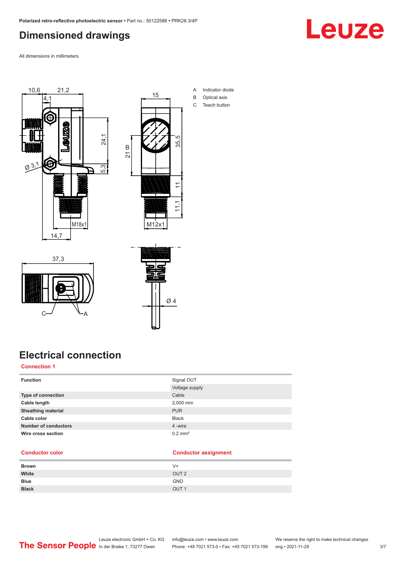## <span id="page-2-0"></span>**Dimensioned drawings**

Leuze

All dimensions in millimeters





21

B

- A Indicator diode B Optical axis
- C Teach button

37,3  $C \rightarrow V_A$ 



# **Electrical connection**

### **Connection 1**

| <b>Function</b>             | Signal OUT         |
|-----------------------------|--------------------|
|                             | Voltage supply     |
| Type of connection          | Cable              |
| Cable length                | 2,000 mm           |
| <b>Sheathing material</b>   | <b>PUR</b>         |
| Cable color                 | <b>Black</b>       |
| <b>Number of conductors</b> | 4 -wire            |
| Wire cross section          | $0.2 \text{ mm}^2$ |
|                             |                    |

### **Conductor color Conductor assignment**

| <b>Brown</b> | V+               |
|--------------|------------------|
| White        | OUT <sub>2</sub> |
| <b>Blue</b>  | <b>GND</b>       |
| <b>Black</b> | OUT <sub>1</sub> |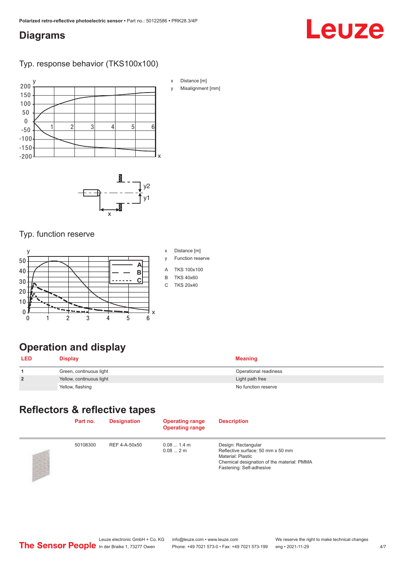### <span id="page-3-0"></span>**Diagrams**

# Leuze

### Typ. response behavior (TKS100x100)



- x Distance [m]
- y Misalignment [mm]



### Typ. function reserve



# **Operation and display**

| <b>LED</b>     | <b>Display</b>           | <b>Meaning</b>        |
|----------------|--------------------------|-----------------------|
|                | Green, continuous light  | Operational readiness |
| $\overline{2}$ | Yellow, continuous light | Light path free       |
|                | Yellow, flashing         | No function reserve   |

# **Reflectors & reflective tapes**

| Part no. | <b>Designation</b> | <b>Operating range</b><br><b>Operating range</b> | <b>Description</b>                                                                                                                                      |  |
|----------|--------------------|--------------------------------------------------|---------------------------------------------------------------------------------------------------------------------------------------------------------|--|
| 50108300 | REF 4-A-50x50      | $0.081.4$ m<br>0.082m                            | Design: Rectangular<br>Reflective surface: 50 mm x 50 mm<br>Material: Plastic<br>Chemical designation of the material: PMMA<br>Fastening: Self-adhesive |  |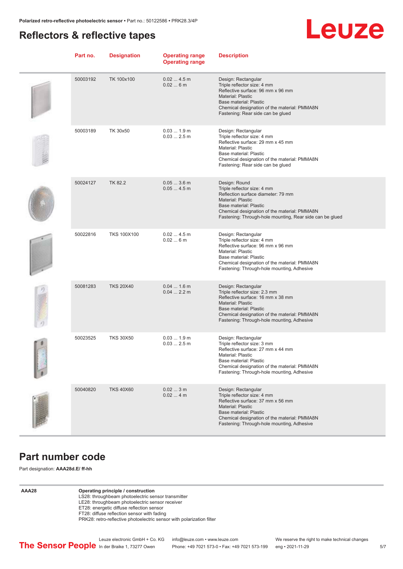### <span id="page-4-0"></span>**Reflectors & reflective tapes**



| Part no. | <b>Designation</b> | <b>Operating range</b><br><b>Operating range</b> | <b>Description</b>                                                                                                                                                                                                                                   |
|----------|--------------------|--------------------------------------------------|------------------------------------------------------------------------------------------------------------------------------------------------------------------------------------------------------------------------------------------------------|
| 50003192 | TK 100x100         | 0.024.5m<br>0.026m                               | Design: Rectangular<br>Triple reflector size: 4 mm<br>Reflective surface: 96 mm x 96 mm<br><b>Material: Plastic</b><br>Base material: Plastic<br>Chemical designation of the material: PMMA8N<br>Fastening: Rear side can be glued                   |
| 50003189 | TK 30x50           | 0.031.9m<br>0.032.5m                             | Design: Rectangular<br>Triple reflector size: 4 mm<br>Reflective surface: 29 mm x 45 mm<br><b>Material: Plastic</b><br>Base material: Plastic<br>Chemical designation of the material: PMMA8N<br>Fastening: Rear side can be glued                   |
| 50024127 | <b>TK 82.2</b>     | $0.053.6$ m<br>0.054.5m                          | Design: Round<br>Triple reflector size: 4 mm<br>Reflection surface diameter: 79 mm<br><b>Material: Plastic</b><br>Base material: Plastic<br>Chemical designation of the material: PMMA8N<br>Fastening: Through-hole mounting, Rear side can be glued |
| 50022816 | <b>TKS 100X100</b> | 0.024.5m<br>0.026m                               | Design: Rectangular<br>Triple reflector size: 4 mm<br>Reflective surface: 96 mm x 96 mm<br>Material: Plastic<br>Base material: Plastic<br>Chemical designation of the material: PMMA8N<br>Fastening: Through-hole mounting, Adhesive                 |
| 50081283 | <b>TKS 20X40</b>   | $0.041.6$ m<br>$0.042.2$ m                       | Design: Rectangular<br>Triple reflector size: 2.3 mm<br>Reflective surface: 16 mm x 38 mm<br><b>Material: Plastic</b><br>Base material: Plastic<br>Chemical designation of the material: PMMA8N<br>Fastening: Through-hole mounting, Adhesive        |
| 50023525 | <b>TKS 30X50</b>   | 0.031.9m<br>$0.032.5$ m                          | Design: Rectangular<br>Triple reflector size: 3 mm<br>Reflective surface: 27 mm x 44 mm<br>Material: Plastic<br>Base material: Plastic<br>Chemical designation of the material: PMMA8N<br>Fastening: Through-hole mounting, Adhesive                 |
| 50040820 | <b>TKS 40X60</b>   | 0.023m<br>0.024m                                 | Design: Rectangular<br>Triple reflector size: 4 mm<br>Reflective surface: 37 mm x 56 mm<br><b>Material: Plastic</b><br>Base material: Plastic<br>Chemical designation of the material: PMMA8N<br>Fastening: Through-hole mounting, Adhesive          |

### **Part number code**

Part designation: **AAA28d.E/ ff-hh**

**AAA28 Operating principle / construction**

- LS28: throughbeam photoelectric sensor transmitter
- LE28: throughbeam photoelectric sensor receiver

ET28: energetic diffuse reflection sensor FT28: diffuse reflection sensor with fading

PRK28: retro-reflective photoelectric sensor with polarization filter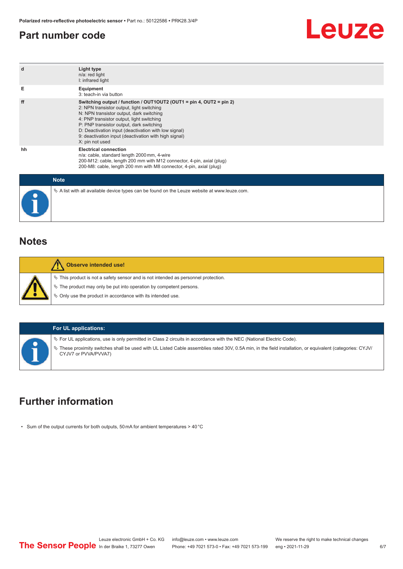### <span id="page-5-0"></span>**Part number code**



| $\mathbf d$                                     | Light type<br>n/a: red light<br>I: infrared light                                                                                                                                                                                                                                                                                                                                         |
|-------------------------------------------------|-------------------------------------------------------------------------------------------------------------------------------------------------------------------------------------------------------------------------------------------------------------------------------------------------------------------------------------------------------------------------------------------|
| Е                                               | Equipment<br>3: teach-in via button                                                                                                                                                                                                                                                                                                                                                       |
| ff                                              | Switching output / function / OUT1OUT2 (OUT1 = pin 4, OUT2 = pin 2)<br>2: NPN transistor output, light switching<br>N: NPN transistor output, dark switching<br>4: PNP transistor output, light switching<br>P: PNP transistor output, dark switching<br>D: Deactivation input (deactivation with low signal)<br>9: deactivation input (deactivation with high signal)<br>X: pin not used |
| hh                                              | <b>Electrical connection</b><br>n/a: cable, standard length 2000 mm, 4-wire<br>200-M12: cable, length 200 mm with M12 connector, 4-pin, axial (plug)<br>200-M8: cable, length 200 mm with M8 connector, 4-pin, axial (plug)                                                                                                                                                               |
| $\mathbf{A} \mathbf{B} = \mathbf{A} \mathbf{A}$ |                                                                                                                                                                                                                                                                                                                                                                                           |

| <b>Note</b>                                                                                  |
|----------------------------------------------------------------------------------------------|
| ∜ A list with all available device types can be found on the Leuze website at www.leuze.com. |

### **Notes**

|  | <b>Observe intended use!</b>                                                                   |
|--|------------------------------------------------------------------------------------------------|
|  | $\frac{1}{2}$ This product is not a safety sensor and is not intended as personnel protection. |
|  | $\%$ The product may only be put into operation by competent persons.                          |
|  | $\&$ Only use the product in accordance with its intended use.                                 |
|  |                                                                                                |

### **For UL applications:**

ª For UL applications, use is only permitted in Class 2 circuits in accordance with the NEC (National Electric Code).

ª These proximity switches shall be used with UL Listed Cable assemblies rated 30V, 0.5A min, in the field installation, or equivalent (categories: CYJV/ CYJV7 or PVVA/PVVA7)

# **Further information**

• Sum of the output currents for both outputs, 50 mA for ambient temperatures > 40 °C